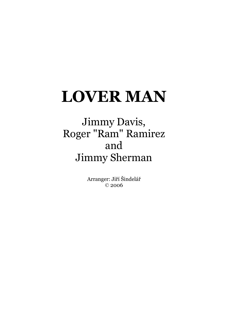## **LOVER MAN**

## Jimmy Davis, Roger "Ram" Ramirez and Jimmy Sherman

Arranger: Jiří Šindelář © 2006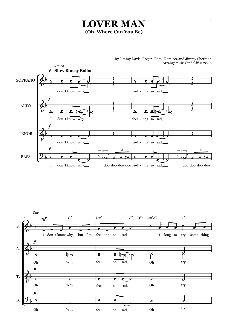## **LOVER MAN (Oh, Where Can You Be)**



By Jimmy Davis, Roger "Ram" Ramirez and Jimmy Sherman

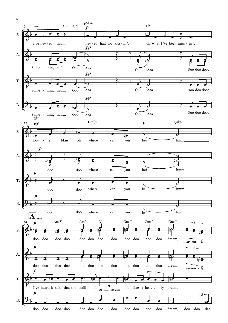

2